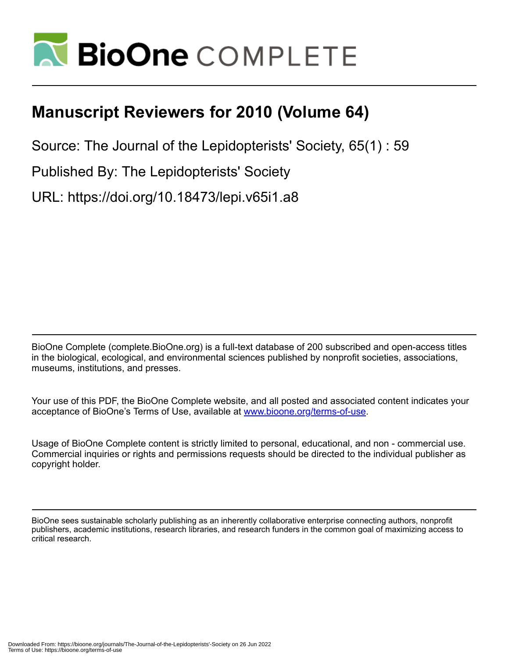

## **Manuscript Reviewers for 2010 (Volume 64)**

Source: The Journal of the Lepidopterists' Society, 65(1) : 59

Published By: The Lepidopterists' Society

URL: https://doi.org/10.18473/lepi.v65i1.a8

BioOne Complete (complete.BioOne.org) is a full-text database of 200 subscribed and open-access titles in the biological, ecological, and environmental sciences published by nonprofit societies, associations, museums, institutions, and presses.

Your use of this PDF, the BioOne Complete website, and all posted and associated content indicates your acceptance of BioOne's Terms of Use, available at www.bioone.org/terms-of-use.

Usage of BioOne Complete content is strictly limited to personal, educational, and non - commercial use. Commercial inquiries or rights and permissions requests should be directed to the individual publisher as copyright holder.

BioOne sees sustainable scholarly publishing as an inherently collaborative enterprise connecting authors, nonprofit publishers, academic institutions, research libraries, and research funders in the common goal of maximizing access to critical research.